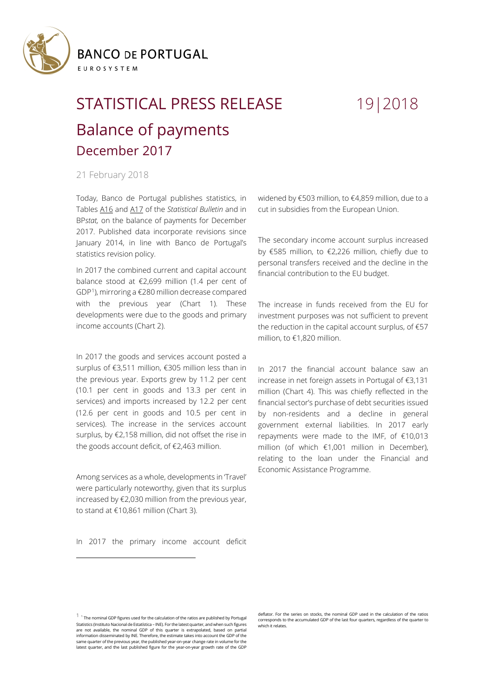

## STATISTICAL PRESS RELEASE 19|2018 Balance of payments December 2017

## 21 February 2018

Today, Banco de Portugal publishes statistics, in Tables [A16](https://www.bportugal.pt/sites/default/files/anexos/16-balanca_pagamentos_en.pdf) and [A17](https://www.bportugal.pt/sites/default/files/anexos/17-comercio_internacional_bens_servicos_en.pdf) of the *Statistical Bulletin* and in BP*stat,* on the balance of payments for December 2017. Published data incorporate revisions since January 2014, in line with Banco de Portugal's statistics revision policy.

In 2017 the combined current and capital account balance stood at €2,699 million (1.4 per cent of GDP[1](#page-0-0)), mirroring a €280 million decrease compared with the previous year (Chart 1). These developments were due to the goods and primary income accounts (Chart 2).

In 2017 the goods and services account posted a surplus of €3,511 million, €305 million less than in the previous year. Exports grew by 11.2 per cent (10.1 per cent in goods and 13.3 per cent in services) and imports increased by 12.2 per cent (12.6 per cent in goods and 10.5 per cent in services). The increase in the services account surplus, by €2,158 million, did not offset the rise in the goods account deficit, of €2,463 million.

Among services as a whole, developments in 'Travel' were particularly noteworthy, given that its surplus increased by €2,030 million from the previous year, to stand at €10,861 million (Chart 3).

widened by €503 million, to €4,859 million, due to a cut in subsidies from the European Union.

The secondary income account surplus increased by €585 million, to €2,226 million, chiefly due to personal transfers received and the decline in the financial contribution to the EU budget.

The increase in funds received from the EU for investment purposes was not sufficient to prevent the reduction in the capital account surplus, of €57 million, to €1,820 million.

In 2017 the financial account balance saw an increase in net foreign assets in Portugal of €3,131 million (Chart 4). This was chiefly reflected in the financial sector's purchase of debt securities issued by non-residents and a decline in general government external liabilities. In 2017 early repayments were made to the IMF, of €10,013 million (of which €1,001 million in December), relating to the loan under the Financial and Economic Assistance Programme.

In 2017 the primary income account deficit

l

<span id="page-0-0"></span> $1$ <sup>1</sup> The nominal GDP figures used for the calculation of the ratios are published by Portugal Statistics (Instituto Nacional de Estatística – INE). For the latest quarter, and when such figures are not available, the nominal GDP of this quarter is extrapolated, based on partial information disseminated by INE. Therefore, the estimate takes into account the GDP of the same quarter of the previous year, the published year-on-year change rate in volume for the latest quarter, and the last published figure for the year-on-year growth rate of the GDP

deflator. For the series on stocks, the nominal GDP used in the calculation of the ratios corresponds to the accumulated GDP of the last four quarters, regardless of the quarter to which it relates.